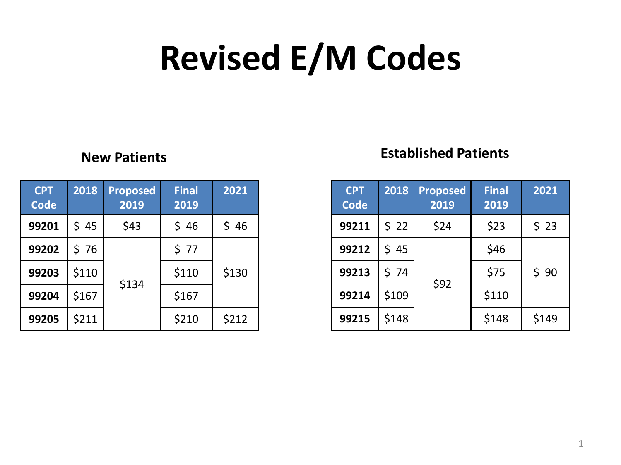# **Revised E/M Codes**

| <b>CPT</b><br><b>Code</b> | 2018  | <b>Proposed</b><br>2019 | <b>Final</b><br>2019 | 2021  |  |
|---------------------------|-------|-------------------------|----------------------|-------|--|
| 99201                     | \$ 45 | \$43                    | \$46                 | \$46  |  |
| 99202                     | \$76  |                         | \$77                 |       |  |
| 99203                     | \$110 |                         | \$110                | \$130 |  |
| 99204                     | \$167 | \$134                   | \$167                |       |  |
| 99205                     | \$211 |                         | \$210                | \$212 |  |

### **New Patients Established Patients**

| <b>CPT</b><br><b>Code</b> | 2018  | <b>Proposed</b><br>2019 | <b>Final</b><br>2019 | 2021  |
|---------------------------|-------|-------------------------|----------------------|-------|
| 99211                     | \$22  | \$24                    | \$23                 | \$23  |
| 99212                     | \$ 45 |                         | \$46                 |       |
| 99213                     | \$74  | \$92                    | \$75                 | \$90  |
| 99214                     | \$109 |                         | \$110                |       |
| 99215                     | \$148 |                         | \$148                | \$149 |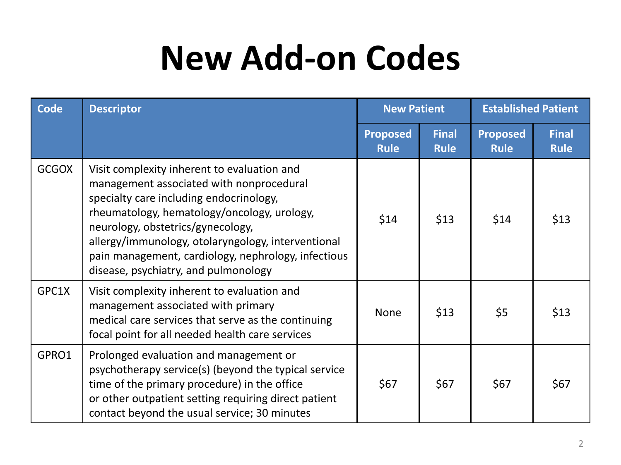### **New Add-on Codes**

| Code         | <b>Descriptor</b>                                                                                                                                                                                                                                                                                                                                                           | <b>New Patient</b>             |                             | <b>Established Patient</b>     |                             |
|--------------|-----------------------------------------------------------------------------------------------------------------------------------------------------------------------------------------------------------------------------------------------------------------------------------------------------------------------------------------------------------------------------|--------------------------------|-----------------------------|--------------------------------|-----------------------------|
|              |                                                                                                                                                                                                                                                                                                                                                                             | <b>Proposed</b><br><b>Rule</b> | <b>Final</b><br><b>Rule</b> | <b>Proposed</b><br><b>Rule</b> | <b>Final</b><br><b>Rule</b> |
| <b>GCGOX</b> | Visit complexity inherent to evaluation and<br>management associated with nonprocedural<br>specialty care including endocrinology,<br>rheumatology, hematology/oncology, urology,<br>neurology, obstetrics/gynecology,<br>allergy/immunology, otolaryngology, interventional<br>pain management, cardiology, nephrology, infectious<br>disease, psychiatry, and pulmonology | \$14                           | \$13                        | \$14                           | \$13                        |
| GPC1X        | Visit complexity inherent to evaluation and<br>management associated with primary<br>medical care services that serve as the continuing<br>focal point for all needed health care services                                                                                                                                                                                  | <b>None</b>                    | \$13                        | \$5                            | \$13                        |
| GPRO1        | Prolonged evaluation and management or<br>psychotherapy service(s) (beyond the typical service<br>time of the primary procedure) in the office<br>or other outpatient setting requiring direct patient<br>contact beyond the usual service; 30 minutes                                                                                                                      | \$67                           | \$67                        | \$67                           | \$67                        |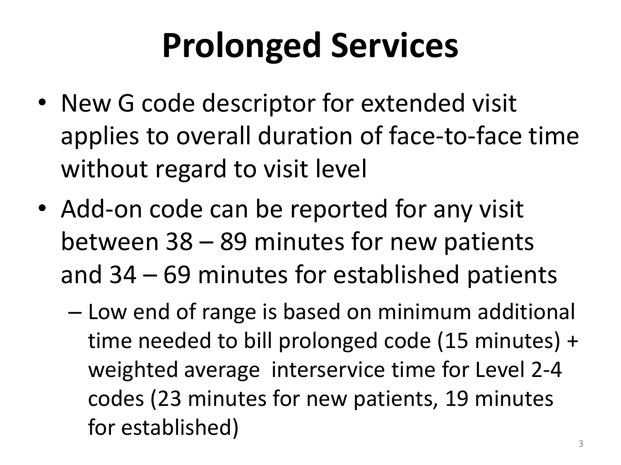# **Prolonged Services**

- New G code descriptor for extended visit applies to overall duration of face-to-face time without regard to visit level
- Add-on code can be reported for any visit between 38 – 89 minutes for new patients and 34 – 69 minutes for established patients
	- Low end of range is based on minimum additional time needed to bill prolonged code (15 minutes) + weighted average interservice time for Level 2-4 codes (23 minutes for new patients, 19 minutes for established)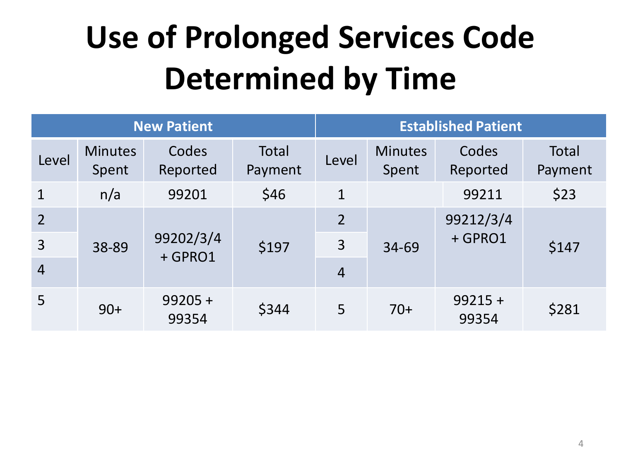## **Use of Prolonged Services Code Determined by Time**

| <b>New Patient</b> |                         |                      |                  |                | <b>Established Patient</b> |                    |                         |  |
|--------------------|-------------------------|----------------------|------------------|----------------|----------------------------|--------------------|-------------------------|--|
| Level              | <b>Minutes</b><br>Spent | Codes<br>Reported    | Total<br>Payment | Level          | <b>Minutes</b><br>Spent    | Codes<br>Reported  | <b>Total</b><br>Payment |  |
| $\mathbf 1$        | n/a                     | 99201                | \$46             | $\mathbf 1$    |                            | 99211              | \$23                    |  |
| $\overline{2}$     |                         | 99202/3/4<br>+ GPRO1 | \$197            | $\overline{2}$ |                            | 99212/3/4          |                         |  |
| $\overline{3}$     | 38-89                   |                      |                  | 3              | 34-69                      | + GPRO1            | \$147                   |  |
| $\overline{4}$     |                         |                      |                  | $\overline{4}$ |                            |                    |                         |  |
| 5                  | $90+$                   | $99205 +$<br>99354   | \$344            | 5              | $70+$                      | $99215 +$<br>99354 | \$281                   |  |